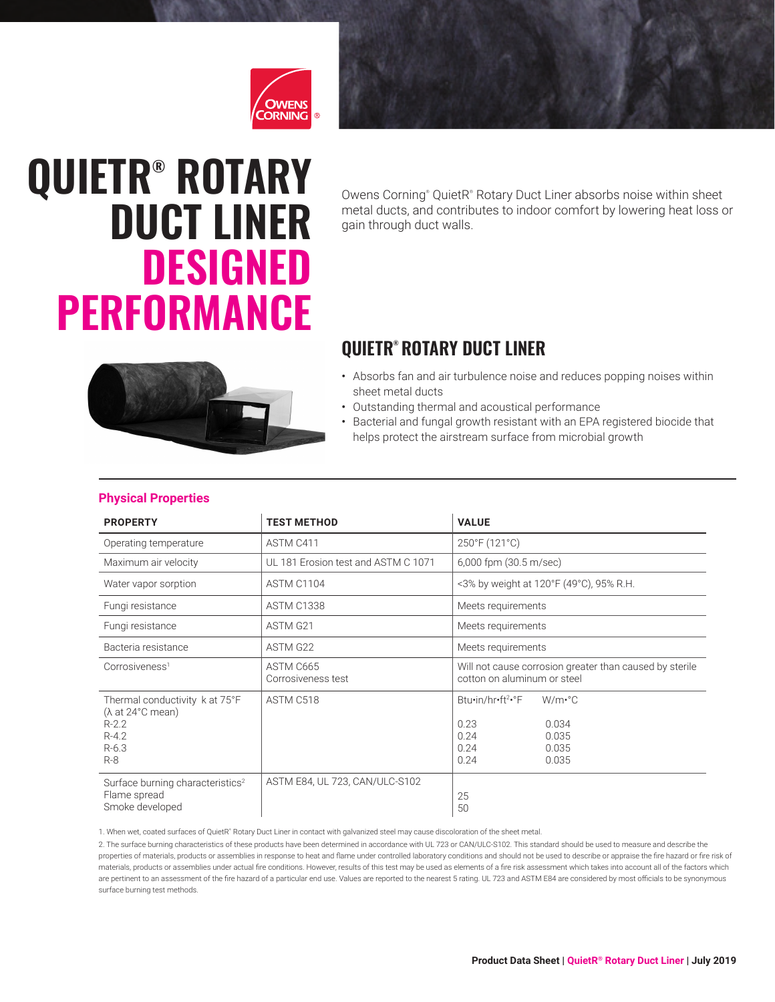

# **QUIETR® ROTARY DUCT LINER DESIGNED PERFORMANCE**

Owens Corning<sup>®</sup> QuietR® Rotary Duct Liner absorbs noise within sheet metal ducts, and contributes to indoor comfort by lowering heat loss or gain through duct walls.

## **QUIETR® ROTARY DUCT LINER**



- Outstanding thermal and acoustical performance
- Bacterial and fungal growth resistant with an EPA registered biocide that helps protect the airstream surface from microbial growth



#### **Physical Properties**

| <b>PROPERTY</b>                                                                                        | <b>TEST METHOD</b>                  | <b>VALUE</b>                                                                                                               |  |  |  |
|--------------------------------------------------------------------------------------------------------|-------------------------------------|----------------------------------------------------------------------------------------------------------------------------|--|--|--|
| Operating temperature                                                                                  | ASTM C411                           | 250°F (121°C)                                                                                                              |  |  |  |
| Maximum air velocity                                                                                   | UL 181 Erosion test and ASTM C 1071 | 6,000 fpm (30.5 m/sec)                                                                                                     |  |  |  |
| Water vapor sorption                                                                                   | ASTM C1104                          | <3% by weight at 120°F (49°C), 95% R.H.                                                                                    |  |  |  |
| Fungi resistance                                                                                       | ASTM C1338                          | Meets requirements                                                                                                         |  |  |  |
| Fungi resistance                                                                                       | ASTM G21                            | Meets requirements                                                                                                         |  |  |  |
| Bacteria resistance                                                                                    | ASTM G22                            | Meets requirements                                                                                                         |  |  |  |
| Corrosiveness <sup>1</sup>                                                                             | ASTM C665<br>Corrosiveness test     | Will not cause corrosion greater than caused by sterile<br>cotton on aluminum or steel                                     |  |  |  |
| Thermal conductivity k at 75°F<br>$(\lambda$ at 24°C mean)<br>$R-2.2$<br>$R - 4.2$<br>$R-6.3$<br>$R-8$ | ASTM C518                           | Btu•in/hr•ft <sup>2•</sup> °F<br>$W/m \cdot ^{\circ}C$<br>0.23<br>0.034<br>0.24<br>0.035<br>0.24<br>0.035<br>0.24<br>0.035 |  |  |  |
| Surface burning characteristics <sup>2</sup><br>Flame spread<br>Smoke developed                        | ASTM E84, UL 723, CAN/ULC-S102      | 25<br>50                                                                                                                   |  |  |  |

1. When wet, coated surfaces of QuietR" Rotary Duct Liner in contact with galvanized steel may cause discoloration of the sheet metal.

2. The surface burning characteristics of these products have been determined in accordance with UL 723 or CAN/ULC-S102. This standard should be used to measure and describe the properties of materials, products or assemblies in response to heat and flame under controlled laboratory conditions and should not be used to describe or appraise the fire hazard or fire risk of materials, products or assemblies under actual fire conditions. However, results of this test may be used as elements of a fire risk assessment which takes into account all of the factors which are pertinent to an assessment of the fire hazard of a particular end use. Values are reported to the nearest 5 rating. UL 723 and ASTM E84 are considered by most officials to be synonymous surface burning test methods.